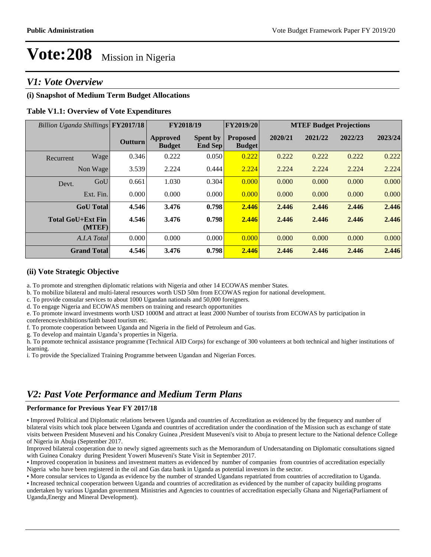### *V1: Vote Overview*

#### **(i) Snapshot of Medium Term Budget Allocations**

#### **Table V1.1: Overview of Vote Expenditures**

| Billion Uganda Shillings FY2017/18 |                                    |                | FY2018/19                 |                                   | FY2019/20                        | <b>MTEF Budget Projections</b> |         |         |         |
|------------------------------------|------------------------------------|----------------|---------------------------|-----------------------------------|----------------------------------|--------------------------------|---------|---------|---------|
|                                    |                                    | <b>Outturn</b> | Approved<br><b>Budget</b> | <b>Spent by</b><br><b>End Sep</b> | <b>Proposed</b><br><b>Budget</b> | 2020/21                        | 2021/22 | 2022/23 | 2023/24 |
| Recurrent                          | Wage                               | 0.346          | 0.222                     | 0.050                             | 0.222                            | 0.222                          | 0.222   | 0.222   | 0.222   |
|                                    | Non Wage                           | 3.539          | 2.224                     | 0.444                             | 2.224                            | 2.224                          | 2.224   | 2.224   | 2.224   |
| Devt.                              | GoU                                | 0.661          | 1.030                     | 0.304                             | 0.000                            | 0.000                          | 0.000   | 0.000   | 0.000   |
|                                    | Ext. Fin.                          | 0.000          | 0.000                     | 0.000                             | 0.000                            | 0.000                          | 0.000   | 0.000   | 0.000   |
|                                    | <b>GoU</b> Total                   | 4.546          | 3.476                     | 0.798                             | 2.446                            | 2.446                          | 2.446   | 2.446   | 2.446   |
|                                    | <b>Total GoU+Ext Fin</b><br>(MTEF) | 4.546          | 3.476                     | 0.798                             | 2.446                            | 2.446                          | 2.446   | 2.446   | 2.446   |
|                                    | A.I.A Total                        | 0.000          | 0.000                     | 0.000                             | 0.000                            | 0.000                          | 0.000   | 0.000   | 0.000   |
|                                    | <b>Grand Total</b>                 | 4.546          | 3.476                     | 0.798                             | 2.446                            | 2.446                          | 2.446   | 2.446   | 2.446   |

#### **(ii) Vote Strategic Objective**

a. To promote and strengthen diplomatic relations with Nigeria and other 14 ECOWAS member States.

b. To mobilize bilateral and multi-lateral resources worth USD 50m from ECOWAS region for national development.

c. To provide consular services to about 1000 Ugandan nationals and 50,000 foreigners.

d. To engage Nigeria and ECOWAS members on training and research opportunities

e. To promote inward investments worth USD 1000M and attract at least 2000 Number of tourists from ECOWAS by participation in

conferences/exhibitions/faith based tourism etc.

f. To promote cooperation between Uganda and Nigeria in the field of Petroleum and Gas.

g. To develop and maintain Uganda's properties in Nigeria.

h. To promote technical assistance programme (Technical AID Corps) for exchange of 300 volunteers at both technical and higher institutions of learning.

i. To provide the Specialized Training Programme between Ugandan and Nigerian Forces.

## *V2: Past Vote Performance and Medium Term Plans*

#### **Performance for Previous Year FY 2017/18**

Improved Political and Diplomatic relations between Uganda and countries of Accreditation as evidenced by the frequency and number of bilateral visits which took place between Uganda and countries of accreditation under the coordination of the Mission such as exchange of state visits between President Museveni and his Conakry Guinea ,President Museveni's visit to Abuja to present lecture to the National defence College of Nigeria in Abuja (September 2017.

Improved bilateral cooperation due to newly signed agreements such as the Memorandum of Undersatanding on Diplomatic consultations signed with Guinea Conakry during President Yoweri Museveni's State Visit in September 2017.

Improved cooperation in business and investment matters as evidenced by number of companies from countries of accreditation especially Nigeria who have been registered in the oil and Gas data bank in Uganda as potential investors in the sector.

More consular services to Uganda as evidence by the number of stranded Ugandans repatriated from countries of accreditation to Uganda.

Increased technical cooperation between Uganda and countries of accreditation as evidenced by the number of capacity building programs undertaken by various Ugandan government Ministries and Agencies to countries of accreditation especially Ghana and Nigeria(Parliament of Uganda,Energy and Mineral Development).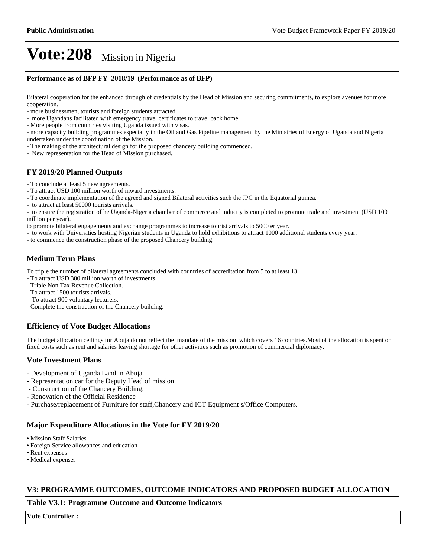#### **Performance as of BFP FY 2018/19 (Performance as of BFP)**

Bilateral cooperation for the enhanced through of credentials by the Head of Mission and securing commitments, to explore avenues for more cooperation.

- more businessmen, tourists and foreign students attracted.
- more Ugandans facilitated with emergency travel certificates to travel back home.
- More people from countries visiting Uganda issued with visas.

- more capacity building programmes especially in the Oil and Gas Pipeline management by the Ministries of Energy of Uganda and Nigeria undertaken under the coordination of the Mission.

- The making of the architectural design for the proposed chancery building commenced.

- New representation for the Head of Mission purchased.

#### **FY 2019/20 Planned Outputs**

- To conclude at least 5 new agreements.

- To attract USD 100 million worth of inward investments.
- To coordinate implementation of the agreed and signed Bilateral activities such the JPC in the Equatorial guinea.
- to attract at least 50000 tourists arrivals.

- to ensure the registration of he Uganda-Nigeria chamber of commerce and induct y is completed to promote trade and investment (USD 100 million per year).

to promote bilateral engagements and exchange programmes to increase tourist arrivals to 5000 er year.

- to work with Universities hosting Nigerian students in Uganda to hold exhibitions to attract 1000 additional students every year.

- to commence the construction phase of the proposed Chancery building.

#### **Medium Term Plans**

To triple the number of bilateral agreements concluded with countries of accreditation from 5 to at least 13.

- To attract USD 300 million worth of investments.
- Triple Non Tax Revenue Collection.
- To attract 1500 tourists arrivals.
- To attract 900 voluntary lecturers.
- Complete the construction of the Chancery building.

#### **Efficiency of Vote Budget Allocations**

The budget allocation ceilings for Abuja do not reflect the mandate of the mission which covers 16 countries.Most of the allocation is spent on fixed costs such as rent and salaries leaving shortage for other activities such as promotion of commercial diplomacy.

#### **Vote Investment Plans**

- Development of Uganda Land in Abuja
- Representation car for the Deputy Head of mission
- Construction of the Chancery Building.
- Renovation of the Official Residence
- Purchase/replacement of Furniture for staff,Chancery and ICT Equipment s/Office Computers.

#### **Major Expenditure Allocations in the Vote for FY 2019/20**

- Mission Staff Salaries
- Foreign Service allowances and education
- Rent expenses
- Medical expenses

#### **V3: PROGRAMME OUTCOMES, OUTCOME INDICATORS AND PROPOSED BUDGET ALLOCATION**

#### **Table V3.1: Programme Outcome and Outcome Indicators**

**Vote Controller:**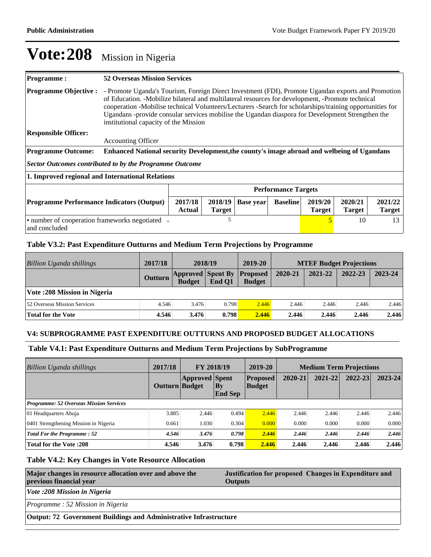| <b>Programme:</b>                                                                                                                                                                                | <b>52 Overseas Mission Services</b>                                                                                                                                                                                                                                                                                                                                                                                                                             |  |  |  |  |                          |  |  |
|--------------------------------------------------------------------------------------------------------------------------------------------------------------------------------------------------|-----------------------------------------------------------------------------------------------------------------------------------------------------------------------------------------------------------------------------------------------------------------------------------------------------------------------------------------------------------------------------------------------------------------------------------------------------------------|--|--|--|--|--------------------------|--|--|
| <b>Programme Objective:</b>                                                                                                                                                                      | - Promote Uganda's Tourism, Foreign Direct Investment (FDI), Promote Ugandan exports and Promotion<br>of Education. -Mobilize bilateral and multilateral resources for development, -Promote technical<br>cooperation -Mobilise technical Volunteers/Lecturers -Search for scholarships/training opportunities for<br>Ugandans -provide consular services mobilise the Ugandan diaspora for Development Strengthen the<br>institutional capacity of the Mission |  |  |  |  |                          |  |  |
| <b>Responsible Officer:</b>                                                                                                                                                                      |                                                                                                                                                                                                                                                                                                                                                                                                                                                                 |  |  |  |  |                          |  |  |
|                                                                                                                                                                                                  | <b>Accounting Officer</b>                                                                                                                                                                                                                                                                                                                                                                                                                                       |  |  |  |  |                          |  |  |
| <b>Programme Outcome:</b>                                                                                                                                                                        | Enhanced National security Development, the county's image abroad and welbeing of Ugandans                                                                                                                                                                                                                                                                                                                                                                      |  |  |  |  |                          |  |  |
|                                                                                                                                                                                                  | <b>Sector Outcomes contributed to by the Programme Outcome</b>                                                                                                                                                                                                                                                                                                                                                                                                  |  |  |  |  |                          |  |  |
| 1. Improved regional and International Relations                                                                                                                                                 |                                                                                                                                                                                                                                                                                                                                                                                                                                                                 |  |  |  |  |                          |  |  |
|                                                                                                                                                                                                  | <b>Performance Targets</b>                                                                                                                                                                                                                                                                                                                                                                                                                                      |  |  |  |  |                          |  |  |
| 2017/18<br>2018/19<br>2019/20<br>2020/21<br><b>Programme Performance Indicators (Output)</b><br><b>Baseline</b><br><b>Base year</b><br>Actual<br><b>Target</b><br><b>Target</b><br><b>Target</b> |                                                                                                                                                                                                                                                                                                                                                                                                                                                                 |  |  |  |  | 2021/22<br><b>Target</b> |  |  |
| 5<br>• number of cooperation frameworks negotiated »<br>10<br>and concluded                                                                                                                      |                                                                                                                                                                                                                                                                                                                                                                                                                                                                 |  |  |  |  | 13                       |  |  |

### **Table V3.2: Past Expenditure Outturns and Medium Term Projections by Programme**

| Billion Uganda shillings            | 2017/18        | 2018/19                                   |        | 2019-20                          |         |         | <b>MTEF Budget Projections</b> |         |
|-------------------------------------|----------------|-------------------------------------------|--------|----------------------------------|---------|---------|--------------------------------|---------|
|                                     | <b>Outturn</b> | <b>Approved Spent By</b><br><b>Budget</b> | End O1 | <b>Proposed</b><br><b>Budget</b> | 2020-21 | 2021-22 | 2022-23                        | 2023-24 |
| Vote: 208 Mission in Nigeria        |                |                                           |        |                                  |         |         |                                |         |
| <b>52 Overseas Mission Services</b> | 4.546          | 3.476                                     | 0.798  | 2.446                            | 2.446   | 2.446   | 2.446                          | 2.446   |
| <b>Total for the Vote</b>           | 4.546          | 3.476                                     | 0.798  | 2.446                            | 2.446   | 2.446   | 2.446                          | 2.446   |

#### **V4: SUBPROGRAMME PAST EXPENDITURE OUTTURNS AND PROPOSED BUDGET ALLOCATIONS**

### **Table V4.1: Past Expenditure Outturns and Medium Term Projections by SubProgramme**

| Billion Uganda shillings                       | 2017/18        | FY 2018/19            |                                          | 2019-20                          | <b>Medium Term Projections</b> |         |         |         |
|------------------------------------------------|----------------|-----------------------|------------------------------------------|----------------------------------|--------------------------------|---------|---------|---------|
|                                                | Outturn Budget | <b>Approved</b> Spent | $\mathbf{B}\mathbf{y}$<br><b>End Sep</b> | <b>Proposed</b><br><b>Budget</b> | 2020-21                        | 2021-22 | 2022-23 | 2023-24 |
| <b>Programme: 52 Overseas Mission Services</b> |                |                       |                                          |                                  |                                |         |         |         |
| 01 Headquarters Abuja                          | 3.885          | 2.446                 | 0.494                                    | 2.446                            | 2.446                          | 2.446   | 2.446   | 2.446   |
| 0401 Strengthening Mission in Nigeria          | 0.661          | 1.030                 | 0.304                                    | 0.000                            | 0.000                          | 0.000   | 0.000   | 0.000   |
| <b>Total For the Programme: 52</b>             | 4.546          | 3.476                 | 0.798                                    | 2.446                            | 2.446                          | 2.446   | 2.446   | 2.446   |
| <b>Total for the Vote: 208</b>                 | 4.546          | 3.476                 | 0.798                                    | 2.446                            | 2.446                          | 2.446   | 2.446   | 2.446   |

#### **Table V4.2: Key Changes in Vote Resource Allocation**

| Major changes in resource allocation over and above the<br>previous financial year | Justification for proposed Changes in Expenditure and<br><b>Outputs</b> |  |  |  |  |
|------------------------------------------------------------------------------------|-------------------------------------------------------------------------|--|--|--|--|
| Vote :208 Mission in Nigeria                                                       |                                                                         |  |  |  |  |
| Programme: 52 Mission in Nigeria                                                   |                                                                         |  |  |  |  |
| <b>Output: 72 Government Buildings and Administrative Infrastructure</b>           |                                                                         |  |  |  |  |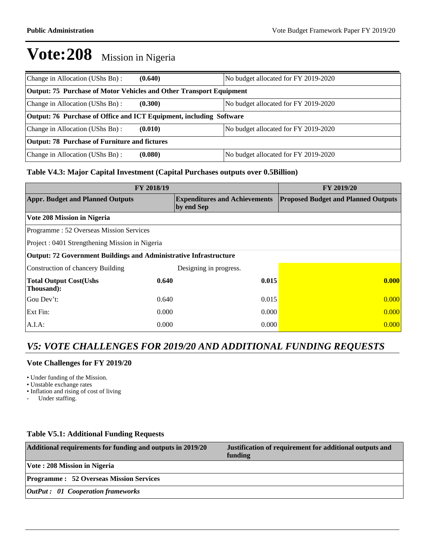| Change in Allocation (UShs Bn):                                     | (0.640) | No budget allocated for FY 2019-2020 |  |  |  |  |  |
|---------------------------------------------------------------------|---------|--------------------------------------|--|--|--|--|--|
| Output: 75 Purchase of Motor Vehicles and Other Transport Equipment |         |                                      |  |  |  |  |  |
| Change in Allocation (UShs Bn):                                     | (0.300) | No budget allocated for FY 2019-2020 |  |  |  |  |  |
| Output: 76 Purchase of Office and ICT Equipment, including Software |         |                                      |  |  |  |  |  |
| Change in Allocation (UShs Bn):                                     | (0.010) | No budget allocated for FY 2019-2020 |  |  |  |  |  |
| <b>Output: 78 Purchase of Furniture and fictures</b>                |         |                                      |  |  |  |  |  |
| Change in Allocation (UShs Bn):                                     | (0.080) | No budget allocated for FY 2019-2020 |  |  |  |  |  |

#### **Table V4.3: Major Capital Investment (Capital Purchases outputs over 0.5Billion)**

| FY 2018/19                                                        | FY 2019/20 |                                                    |                                            |  |  |  |  |
|-------------------------------------------------------------------|------------|----------------------------------------------------|--------------------------------------------|--|--|--|--|
| <b>Appr. Budget and Planned Outputs</b>                           |            | <b>Expenditures and Achievements</b><br>by end Sep | <b>Proposed Budget and Planned Outputs</b> |  |  |  |  |
| Vote 208 Mission in Nigeria                                       |            |                                                    |                                            |  |  |  |  |
| Programme: 52 Overseas Mission Services                           |            |                                                    |                                            |  |  |  |  |
| Project: 0401 Strengthening Mission in Nigeria                    |            |                                                    |                                            |  |  |  |  |
| Output: 72 Government Buildings and Administrative Infrastructure |            |                                                    |                                            |  |  |  |  |
| Construction of chancery Building                                 |            | Designing in progress.                             |                                            |  |  |  |  |
| <b>Total Output Cost(Ushs</b><br>Thousand):                       | 0.640      | 0.015                                              | 0.000                                      |  |  |  |  |
| Gou Dev't:                                                        | 0.640      | 0.015                                              | 0.000                                      |  |  |  |  |
| Ext Fin:                                                          | 0.000      | 0.000                                              | 0.000                                      |  |  |  |  |
| $A.I.A$ :                                                         | 0.000      | 0.000                                              | 0.000                                      |  |  |  |  |

## *V5: VOTE CHALLENGES FOR 2019/20 AND ADDITIONAL FUNDING REQUESTS*

#### **Vote Challenges for FY 2019/20**

Under funding of the Mission.

- Unstable exchange rates
- Inflation and rising of cost of living

- Under staffing.

#### **Table V5.1: Additional Funding Requests**

| Additional requirements for funding and outputs in 2019/20 | Justification of requirement for additional outputs and<br>funding |
|------------------------------------------------------------|--------------------------------------------------------------------|
| Vote: 208 Mission in Nigeria                               |                                                                    |
| <b>Programme : 52 Overseas Mission Services</b>            |                                                                    |
| <b>OutPut : 01 Cooperation frameworks</b>                  |                                                                    |